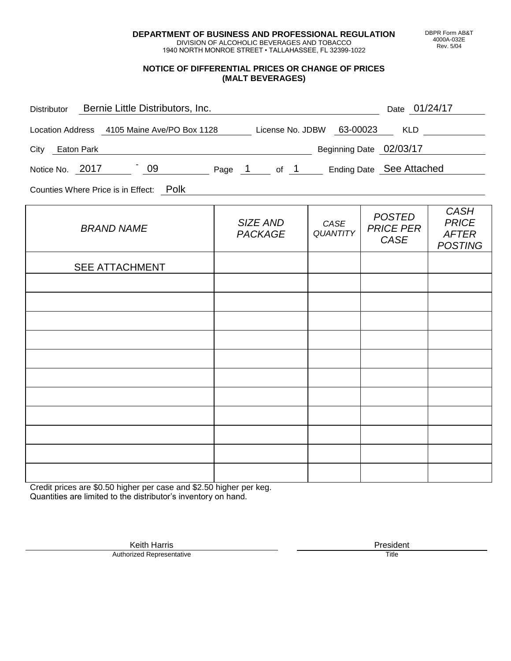**DEPARTMENT OF BUSINESS AND PROFESSIONAL REGULATION** DIVISION OF ALCOHOLIC BEVERAGES AND TOBACCO

1940 NORTH MONROE STREET • TALLAHASSEE, FL 32399-1022

## **NOTICE OF DIFFERENTIAL PRICES OR CHANGE OF PRICES (MALT BEVERAGES)**

| Bernie Little Distributors, Inc.<br>Distributor                                        |                                   |                         | Date 01/24/17                                    |                                                               |  |  |  |  |  |
|----------------------------------------------------------------------------------------|-----------------------------------|-------------------------|--------------------------------------------------|---------------------------------------------------------------|--|--|--|--|--|
| License No. JDBW 63-00023<br><b>KLD</b><br>Location Address 4105 Maine Ave/PO Box 1128 |                                   |                         |                                                  |                                                               |  |  |  |  |  |
| City<br>Eaton Park                                                                     |                                   |                         | Beginning Date 02/03/17                          |                                                               |  |  |  |  |  |
| $-09$<br>Notice No. 2017                                                               | Page 1 of 1                       |                         | Ending Date See Attached                         |                                                               |  |  |  |  |  |
| Counties Where Price is in Effect: Polk                                                |                                   |                         |                                                  |                                                               |  |  |  |  |  |
| <b>BRAND NAME</b>                                                                      | <b>SIZE AND</b><br><b>PACKAGE</b> | CASE<br><b>QUANTITY</b> | <b>POSTED</b><br><b>PRICE PER</b><br><b>CASE</b> | <b>CASH</b><br><b>PRICE</b><br><b>AFTER</b><br><b>POSTING</b> |  |  |  |  |  |
| <b>SEE ATTACHMENT</b>                                                                  |                                   |                         |                                                  |                                                               |  |  |  |  |  |

| <b>OLL AT TAULIMENT</b> |  |  |
|-------------------------|--|--|
|                         |  |  |
|                         |  |  |
|                         |  |  |
|                         |  |  |
|                         |  |  |
|                         |  |  |
|                         |  |  |
|                         |  |  |
|                         |  |  |
|                         |  |  |
|                         |  |  |

Credit prices are \$0.50 higher per case and \$2.50 higher per keg. Quantities are limited to the distributor's inventory on hand.

Keith Harris **President**<br> **President**<br>
Prized Representative **President** 

DBPR Form AB&T 4000A-032E Rev. 5/04

Authorized Representative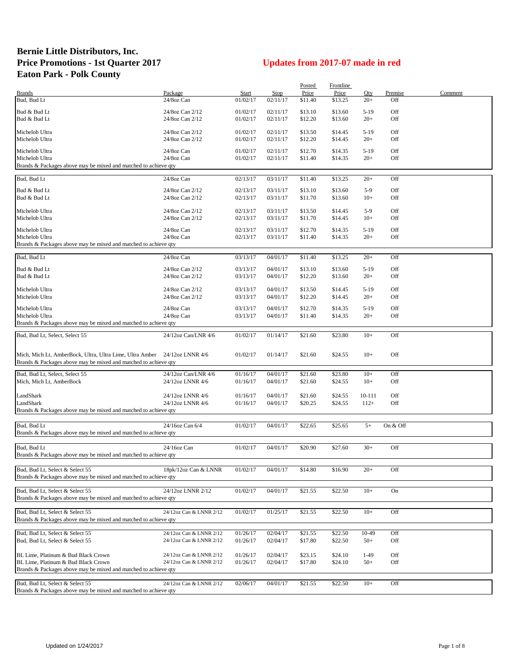## **Bernie Little Distributors, Inc. Price Promotions - 1st Quarter 2017 Updates from 2017-07 made in red Eaton Park - Polk County**

|                                                                           |                         |          |             | Posted  | Frontline |        |          |         |
|---------------------------------------------------------------------------|-------------------------|----------|-------------|---------|-----------|--------|----------|---------|
| <b>Brands</b>                                                             | Package                 | Start    | <b>Stop</b> | Price   | Price     | Qty    | Premise  | Comment |
| Bud, Bud Lt                                                               | 24/8oz Can              | 01/02/17 | 02/11/17    | \$11.40 | \$13.25   | $20+$  | Off      |         |
|                                                                           |                         |          |             |         |           |        |          |         |
| Bud & Bud Lt                                                              | 24/8oz Can 2/12         | 01/02/17 | 02/11/17    | \$13.10 | \$13.60   | $5-19$ | Off      |         |
| Bud & Bud Lt                                                              | 24/8oz Can 2/12         | 01/02/17 | 02/11/17    | \$12.20 | \$13.60   | $20+$  | Off      |         |
| Michelob Ultra                                                            | 24/8oz Can 2/12         | 01/02/17 | 02/11/17    | \$13.50 | \$14.45   | $5-19$ | Off      |         |
| Michelob Ultra                                                            | 24/8oz Can 2/12         | 01/02/17 | 02/11/17    | \$12.20 | \$14.45   | $20+$  | Off      |         |
|                                                                           |                         |          |             |         |           |        |          |         |
| Michelob Ultra                                                            | 24/8oz Can              | 01/02/17 | 02/11/17    | \$12.70 | \$14.35   | $5-19$ | Off      |         |
| Michelob Ultra                                                            | 24/8oz Can              | 01/02/17 | 02/11/17    | \$11.40 | \$14.35   | $20+$  | Off      |         |
| Brands & Packages above may be mixed and matched to achieve qty           |                         |          |             |         |           |        |          |         |
|                                                                           |                         |          |             |         |           |        |          |         |
| Bud, Bud Lt                                                               | 24/8oz Can              | 02/13/17 | 03/11/17    | \$11.40 | \$13.25   | $20+$  | Off      |         |
| Bud & Bud Lt                                                              | 24/8oz Can 2/12         | 02/13/17 | 03/11/17    | \$13.10 | \$13.60   | $5-9$  | Off      |         |
| Bud & Bud Lt                                                              | 24/8oz Can 2/12         | 02/13/17 | 03/11/17    | \$11.70 | \$13.60   | $10+$  | Off      |         |
|                                                                           |                         |          |             |         |           |        |          |         |
| Michelob Ultra                                                            | 24/8oz Can 2/12         | 02/13/17 | 03/11/17    | \$13.50 | \$14.45   | $5-9$  | Off      |         |
| Michelob Ultra                                                            | 24/8oz Can 2/12         | 02/13/17 | 03/11/17    | \$11.70 | \$14.45   | $10+$  | Off      |         |
|                                                                           |                         |          |             |         |           |        |          |         |
| Michelob Ultra                                                            | 24/8oz Can              | 02/13/17 | 03/11/17    | \$12.70 | \$14.35   | $5-19$ | Off      |         |
| Michelob Ultra                                                            | 24/8oz Can              | 02/13/17 | 03/11/17    | \$11.40 | \$14.35   | $20+$  | Off      |         |
| Brands & Packages above may be mixed and matched to achieve qty           |                         |          |             |         |           |        |          |         |
|                                                                           |                         |          |             |         |           |        |          |         |
| Bud, Bud Lt                                                               | 24/8oz Can              | 03/13/17 | 04/01/17    | \$11.40 | \$13.25   | $20+$  | Off      |         |
| Bud & Bud Lt                                                              | 24/8oz Can 2/12         | 03/13/17 | 04/01/17    | \$13.10 | \$13.60   | $5-19$ | Off      |         |
| Bud & Bud Lt                                                              | 24/8oz Can 2/12         | 03/13/17 | 04/01/17    | \$12.20 | \$13.60   | $20+$  | Off      |         |
|                                                                           |                         |          |             |         |           |        |          |         |
| Michelob Ultra                                                            | 24/8oz Can 2/12         | 03/13/17 | 04/01/17    | \$13.50 | \$14.45   | $5-19$ | Off      |         |
| Michelob Ultra                                                            | 24/8oz Can 2/12         | 03/13/17 | 04/01/17    | \$12.20 | \$14.45   | $20+$  | Off      |         |
|                                                                           |                         |          |             |         |           |        |          |         |
| Michelob Ultra                                                            | 24/8oz Can              | 03/13/17 | 04/01/17    | \$12.70 | \$14.35   | $5-19$ | Off      |         |
| Michelob Ultra                                                            | 24/8oz Can              | 03/13/17 | 04/01/17    | \$11.40 | \$14.35   | $20+$  | Off      |         |
| Brands & Packages above may be mixed and matched to achieve qty           |                         |          |             |         |           |        |          |         |
| Bud, Bud Lt, Select, Select 55                                            | 24/12oz Can/LNR 4/6     | 01/02/17 | 01/14/17    | \$21.60 | \$23.80   | $10+$  | Off      |         |
|                                                                           |                         |          |             |         |           |        |          |         |
|                                                                           |                         |          |             |         |           |        |          |         |
| Mich, Mich Lt, AmberBock, Ultra, Ultra Lime, Ultra Amber 24/12oz LNNR 4/6 |                         | 01/02/17 | 01/14/17    | \$21.60 | \$24.55   | $10+$  | Off      |         |
| Brands & Packages above may be mixed and matched to achieve qty           |                         |          |             |         |           |        |          |         |
| Bud, Bud Lt, Select, Select 55                                            | 24/12oz Can/LNR 4/6     | 01/16/17 | 04/01/17    | \$21.60 | \$23.80   | $10+$  | Off      |         |
|                                                                           | 24/12oz LNNR 4/6        | 01/16/17 | 04/01/17    |         | \$24.55   | $10+$  | Off      |         |
| Mich, Mich Lt, AmberBock                                                  |                         |          |             | \$21.60 |           |        |          |         |
| LandShark                                                                 | 24/12oz LNNR 4/6        | 01/16/17 | 04/01/17    | \$21.60 | \$24.55   | 10-111 | Off      |         |
| LandShark                                                                 | 24/12oz LNNR 4/6        | 01/16/17 | 04/01/17    | \$20.25 | \$24.55   | $112+$ | Off      |         |
| Brands & Packages above may be mixed and matched to achieve qty           |                         |          |             |         |           |        |          |         |
|                                                                           |                         |          |             |         |           |        |          |         |
| Bud, Bud Lt                                                               |                         | 01/02/17 | 04/01/17    | \$22.65 | \$25.65   | $5+$   | On & Off |         |
| Brands & Packages above may be mixed and matched to achieve qty           | 24/16oz Can 6/4         |          |             |         |           |        |          |         |
|                                                                           |                         |          |             |         |           |        |          |         |
| Bud, Bud Lt                                                               | 24/16oz Can             |          | 04/01/17    |         |           | $30+$  | Off      |         |
| Brands & Packages above may be mixed and matched to achieve qty           |                         | 01/02/17 |             | \$20.90 | \$27.60   |        |          |         |
|                                                                           |                         |          |             |         |           |        |          |         |
| Bud, Bud Lt, Select & Select 55                                           | 18pk/12oz Can & LNNR    | 01/02/17 | 04/01/17    | \$14.80 | \$16.90   | $20+$  | Off      |         |
| Brands & Packages above may be mixed and matched to achieve qty           |                         |          |             |         |           |        |          |         |
|                                                                           |                         |          |             |         |           |        |          |         |
| Bud, Bud Lt, Select & Select 55                                           | 24/12oz LNNR 2/12       | 01/02/17 | 04/01/17    | \$21.55 | \$22.50   | $10+$  | On       |         |
| Brands & Packages above may be mixed and matched to achieve qty           |                         |          |             |         |           |        |          |         |
|                                                                           |                         |          |             |         |           |        |          |         |
| Bud, Bud Lt, Select & Select 55                                           | 24/12oz Can & LNNR 2/12 | 01/02/17 | 01/25/17    | \$21.55 | \$22.50   | $10+$  | Off      |         |
| Brands & Packages above may be mixed and matched to achieve aty           |                         |          |             |         |           |        |          |         |
|                                                                           |                         |          |             |         |           |        |          |         |
| Bud, Bud Lt, Select & Select 55                                           | 24/12oz Can & LNNR 2/12 | 01/26/17 | 02/04/17    | \$21.55 | \$22.50   | 10-49  | Off      |         |
| Bud, Bud Lt, Select & Select 55                                           | 24/12oz Can & LNNR 2/12 | 01/26/17 | 02/04/17    | \$17.80 | \$22.50   | $50+$  | Off      |         |
|                                                                           |                         |          |             |         |           |        |          |         |
| BL Lime, Platinum & Bud Black Crown                                       | 24/12oz Can & LNNR 2/12 | 01/26/17 | 02/04/17    | \$23.15 | \$24.10   | $1-49$ | Off      |         |
| BL Lime, Platinum & Bud Black Crown                                       | 24/12oz Can & LNNR 2/12 | 01/26/17 | 02/04/17    | \$17.80 | \$24.10   | $50+$  | Off      |         |
| Brands & Packages above may be mixed and matched to achieve qty           |                         |          |             |         |           |        |          |         |
|                                                                           |                         |          |             |         |           |        |          |         |
| Bud, Bud Lt, Select & Select 55                                           | 24/12oz Can & LNNR 2/12 | 02/06/17 | 04/01/17    | \$21.55 | \$22.50   | $10+$  | Off      |         |
| Brands & Packages above may be mixed and matched to achieve qty           |                         |          |             |         |           |        |          |         |
|                                                                           |                         |          |             |         |           |        |          |         |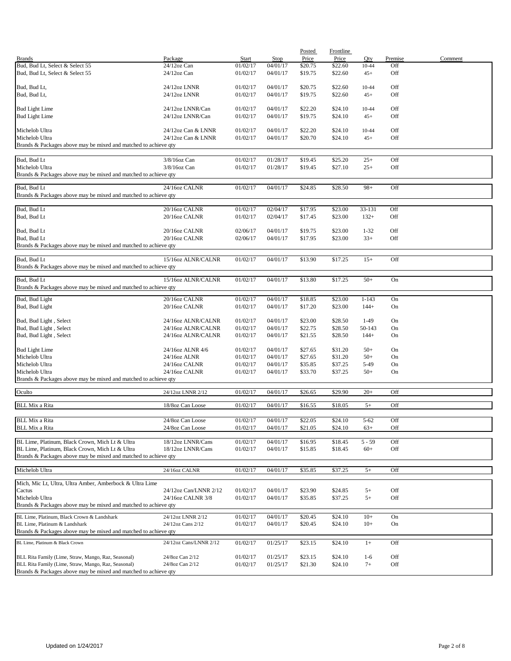|                                                                 |                        |          |             | Posted  | <b>Frontline</b> |           |         |         |
|-----------------------------------------------------------------|------------------------|----------|-------------|---------|------------------|-----------|---------|---------|
| <b>Brands</b>                                                   | Package                | Start    | <b>Stop</b> | Price   | Price            | Qty       | Premise | Comment |
| Bud, Bud Lt, Select & Select 55                                 | 24/12oz Can            | 01/02/17 | 04/01/17    | \$20.75 | \$22.60          | 10-44     | Off     |         |
| Bud, Bud Lt, Select & Select 55                                 | $24/12$ oz Can         | 01/02/17 | 04/01/17    | \$19.75 | \$22.60          | $45+$     | Off     |         |
|                                                                 |                        |          |             |         |                  |           |         |         |
|                                                                 |                        |          |             |         |                  |           |         |         |
| Bud, Bud Lt,                                                    | 24/12oz LNNR           | 01/02/17 | 04/01/17    | \$20.75 | \$22.60          | 10-44     | Off     |         |
| Bud, Bud Lt,                                                    | 24/12oz LNNR           | 01/02/17 | 04/01/17    | \$19.75 | \$22.60          | $45+$     | Off     |         |
|                                                                 |                        |          |             |         |                  |           |         |         |
| <b>Bud Light Lime</b>                                           | 24/12oz LNNR/Can       | 01/02/17 | 04/01/17    | \$22.20 | \$24.10          | 10-44     | Off     |         |
| <b>Bud Light Lime</b>                                           | 24/12oz LNNR/Can       | 01/02/17 | 04/01/17    | \$19.75 | \$24.10          | $45+$     | Off     |         |
|                                                                 |                        |          |             |         |                  |           |         |         |
|                                                                 |                        |          |             |         |                  |           |         |         |
| Michelob Ultra                                                  | 24/12oz Can & LNNR     | 01/02/17 | 04/01/17    | \$22.20 | \$24.10          | 10-44     | Off     |         |
| Michelob Ultra                                                  | 24/12oz Can & LNNR     | 01/02/17 | 04/01/17    | \$20.70 | \$24.10          | $45+$     | Off     |         |
| Brands & Packages above may be mixed and matched to achieve qty |                        |          |             |         |                  |           |         |         |
|                                                                 |                        |          |             |         |                  |           |         |         |
| Bud, Bud Lt                                                     | 3/8/16oz Can           | 01/02/17 | 01/28/17    | \$19.45 | \$25.20          | $25+$     | Off     |         |
|                                                                 |                        |          |             |         |                  |           |         |         |
| Michelob Ultra                                                  | 3/8/16oz Can           | 01/02/17 | 01/28/17    | \$19.45 | \$27.10          | $25+$     | Off     |         |
| Brands & Packages above may be mixed and matched to achieve qty |                        |          |             |         |                  |           |         |         |
|                                                                 |                        |          |             |         |                  |           |         |         |
| Bud, Bud Lt                                                     | 24/16oz CALNR          | 01/02/17 | 04/01/17    | \$24.85 | \$28.50          | $98+$     | Off     |         |
| Brands & Packages above may be mixed and matched to achieve qty |                        |          |             |         |                  |           |         |         |
|                                                                 |                        |          |             |         |                  |           |         |         |
| Bud, Bud Lt                                                     | 20/16oz CALNR          | 01/02/17 | 02/04/17    | \$17.95 | \$23.00          | 33-131    | Off     |         |
|                                                                 |                        |          |             |         |                  |           |         |         |
| Bud, Bud Lt                                                     | 20/16oz CALNR          | 01/02/17 | 02/04/17    | \$17.45 | \$23.00          | $132+$    | Off     |         |
|                                                                 |                        |          |             |         |                  |           |         |         |
| Bud, Bud Lt                                                     | 20/16oz CALNR          | 02/06/17 | 04/01/17    | \$19.75 | \$23.00          | $1 - 32$  | Off     |         |
| Bud, Bud Lt                                                     | 20/16oz CALNR          | 02/06/17 | 04/01/17    | \$17.95 | \$23.00          | $33+$     | Off     |         |
| Brands & Packages above may be mixed and matched to achieve qty |                        |          |             |         |                  |           |         |         |
|                                                                 |                        |          |             |         |                  |           |         |         |
|                                                                 |                        |          |             |         |                  |           |         |         |
| Bud, Bud Lt                                                     | 15/16oz ALNR/CALNR     | 01/02/17 | 04/01/17    | \$13.90 | \$17.25          | $15+$     | Off     |         |
| Brands & Packages above may be mixed and matched to achieve qty |                        |          |             |         |                  |           |         |         |
|                                                                 |                        |          |             |         |                  |           |         |         |
| Bud, Bud Lt                                                     | 15/16oz ALNR/CALNR     | 01/02/17 | 04/01/17    | \$13.80 | \$17.25          | $50+$     | On      |         |
| Brands & Packages above may be mixed and matched to achieve qty |                        |          |             |         |                  |           |         |         |
|                                                                 |                        |          |             |         |                  |           |         |         |
| Bud, Bud Light                                                  | 20/16oz CALNR          | 01/02/17 | 04/01/17    | \$18.85 | \$23.00          | $1 - 143$ | On      |         |
| Bud, Bud Light                                                  | 20/16oz CALNR          | 01/02/17 | 04/01/17    | \$17.20 | \$23.00          | $144+$    | On      |         |
|                                                                 |                        |          |             |         |                  |           |         |         |
|                                                                 |                        |          |             |         |                  |           |         |         |
| Bud, Bud Light, Select                                          | 24/16oz ALNR/CALNR     | 01/02/17 | 04/01/17    | \$23.00 | \$28.50          | $1-49$    | On      |         |
| Bud, Bud Light, Select                                          | 24/16oz ALNR/CALNR     | 01/02/17 | 04/01/17    | \$22.75 | \$28.50          | 50-143    | On      |         |
| Bud, Bud Light, Select                                          | 24/16oz ALNR/CALNR     | 01/02/17 | 04/01/17    | \$21.55 | \$28.50          | $144+$    | On      |         |
|                                                                 |                        |          |             |         |                  |           |         |         |
| <b>Bud Light Lime</b>                                           | 24/16oz ALNR 4/6       | 01/02/17 | 04/01/17    | \$27.65 | \$31.20          | $50+$     | On      |         |
| Michelob Ultra                                                  |                        | 01/02/17 |             |         |                  | $50+$     |         |         |
|                                                                 | 24/16oz ALNR           |          | 04/01/17    | \$27.65 | \$31.20          |           | On      |         |
| Michelob Ultra                                                  | 24/16oz CALNR          | 01/02/17 | 04/01/17    | \$35.85 | \$37.25          | 5-49      | On      |         |
| Michelob Ultra                                                  | 24/16oz CALNR          | 01/02/17 | 04/01/17    | \$33.70 | \$37.25          | $50+$     | On      |         |
| Brands & Packages above may be mixed and matched to achieve qty |                        |          |             |         |                  |           |         |         |
|                                                                 |                        |          |             |         |                  |           |         |         |
| Oculto                                                          | 24/12oz LNNR 2/12      | 01/02/17 | 04/01/17    | \$26.65 | \$29.90          | $20+$     | Off     |         |
|                                                                 |                        |          |             |         |                  |           |         |         |
| <b>BLL Mix a Rita</b>                                           | 18/8oz Can Loose       | 01/02/17 | 04/01/17    | \$16.55 | \$18.05          | $5+$      | Off     |         |
|                                                                 |                        |          |             |         |                  |           |         |         |
|                                                                 |                        |          |             |         |                  |           |         |         |
| <b>BLL Mix a Rita</b>                                           | 24/8oz Can Loose       | 01/02/17 | 04/01/17    | \$22.05 | \$24.10          | $5 - 62$  | Off     |         |
| <b>BLL Mix a Rita</b>                                           | 24/8oz Can Loose       | 01/02/17 | 04/01/17    | \$21.05 | \$24.10          | $63+$     | Off     |         |
|                                                                 |                        |          |             |         |                  |           |         |         |
| BL Lime, Platinum, Black Crown, Mich Lt & Ultra                 | 18/12oz LNNR/Cans      | 01/02/17 | 04/01/17    | \$16.95 | \$18.45          | $5 - 59$  | Off     |         |
| BL Lime, Platinum, Black Crown, Mich Lt & Ultra                 | 18/12oz LNNR/Cans      | 01/02/17 | 04/01/17    | \$15.85 | \$18.45          | $60+$     | Off     |         |
| Brands & Packages above may be mixed and matched to achieve qty |                        |          |             |         |                  |           |         |         |
|                                                                 |                        |          |             |         |                  |           |         |         |
|                                                                 |                        |          |             |         |                  |           |         |         |
| Michelob Ultra                                                  | 24/16oz CALNR          | 01/02/17 | 04/01/17    | \$35.85 | \$37.25          | $5+$      | Off     |         |
|                                                                 |                        |          |             |         |                  |           |         |         |
| Mich, Mic Lt, Ultra, Ultra Amber, Amberbock & Ultra Lime        |                        |          |             |         |                  |           |         |         |
| Cactus                                                          | 24/12oz Can/LNNR 2/12  | 01/02/17 | 04/01/17    | \$23.90 | \$24.85          | $5+$      | Off     |         |
| Michelob Ultra                                                  | 24/16oz CALNR 3/8      | 01/02/17 | 04/01/17    | \$35.85 | \$37.25          | $5+$      | Off     |         |
| Brands & Packages above may be mixed and matched to achieve qty |                        |          |             |         |                  |           |         |         |
|                                                                 |                        |          |             |         |                  |           |         |         |
| BL Lime, Platinum, Black Crown & Landshark                      | 24/12oz LNNR 2/12      | 01/02/17 | 04/01/17    | \$20.45 | \$24.10          | $10+$     | On      |         |
| BL Lime, Platinum & Landshark                                   | 24/12oz Cans 2/12      | 01/02/17 | 04/01/17    | \$20.45 | \$24.10          | $10+$     | On      |         |
|                                                                 |                        |          |             |         |                  |           |         |         |
| Brands & Packages above may be mixed and matched to achieve qty |                        |          |             |         |                  |           |         |         |
| BL Lime, Platinum & Black Crown                                 | 24/12oz Cans/LNNR 2/12 | 01/02/17 | 01/25/17    | \$23.15 | \$24.10          | $1+$      | Off     |         |
|                                                                 |                        |          |             |         |                  |           |         |         |
|                                                                 |                        |          |             |         |                  |           |         |         |
| BLL Rita Family (Lime, Straw, Mango, Raz, Seasonal)             | 24/8oz Can 2/12        | 01/02/17 | 01/25/17    | \$23.15 | \$24.10          | $1 - 6$   | Off     |         |
| BLL Rita Family (Lime, Straw, Mango, Raz, Seasonal)             | 24/8oz Can 2/12        | 01/02/17 | 01/25/17    | \$21.30 | \$24.10          | $7+$      | Off     |         |
| Brands & Packages above may be mixed and matched to achieve qty |                        |          |             |         |                  |           |         |         |
|                                                                 |                        |          |             |         |                  |           |         |         |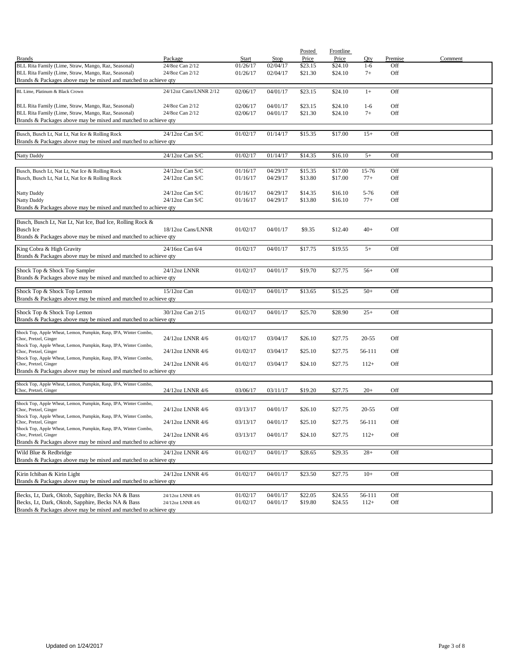|                                                                                           |                        |          |          | Posted  | Frontline |           |         |         |
|-------------------------------------------------------------------------------------------|------------------------|----------|----------|---------|-----------|-----------|---------|---------|
| <b>Brands</b>                                                                             | Package                | Start    | Stop     | Price   | Price     | Qty       | Premise | Comment |
| BLL Rita Family (Lime, Straw, Mango, Raz, Seasonal)                                       | 24/8oz Can 2/12        | 01/26/17 | 02/04/17 | \$23.15 | \$24.10   | $1 - 6$   | Off     |         |
| BLL Rita Family (Lime, Straw, Mango, Raz, Seasonal)                                       | 24/8oz Can 2/12        | 01/26/17 | 02/04/17 | \$21.30 | \$24.10   | $7+$      | Off     |         |
| Brands & Packages above may be mixed and matched to achieve qty                           |                        |          |          |         |           |           |         |         |
| BL Lime, Platinum & Black Crown                                                           | 24/12oz Cans/LNNR 2/12 | 02/06/17 | 04/01/17 | \$23.15 | \$24.10   | $1+$      | Off     |         |
|                                                                                           |                        |          |          |         |           |           |         |         |
| BLL Rita Family (Lime, Straw, Mango, Raz, Seasonal)                                       | 24/8oz Can 2/12        | 02/06/17 | 04/01/17 | \$23.15 | \$24.10   | $1-6$     | Off     |         |
| BLL Rita Family (Lime, Straw, Mango, Raz, Seasonal)                                       | 24/8oz Can 2/12        | 02/06/17 | 04/01/17 | \$21.30 | \$24.10   | $7+$      | Off     |         |
| Brands & Packages above may be mixed and matched to achieve qty                           |                        |          |          |         |           |           |         |         |
| Busch, Busch Lt, Nat Lt, Nat Ice & Rolling Rock                                           | 24/12oz Can S/C        | 01/02/17 | 01/14/17 | \$15.35 | \$17.00   | $15+$     | Off     |         |
| Brands & Packages above may be mixed and matched to achieve qty                           |                        |          |          |         |           |           |         |         |
|                                                                                           |                        |          |          |         |           |           |         |         |
| <b>Natty Daddy</b>                                                                        | 24/12oz Can S/C        | 01/02/17 | 01/14/17 | \$14.35 | \$16.10   | $5+$      | Off     |         |
|                                                                                           |                        |          |          |         |           |           |         |         |
| Busch, Busch Lt, Nat Lt, Nat Ice & Rolling Rock                                           | 24/12oz Can S/C        | 01/16/17 | 04/29/17 | \$15.35 | \$17.00   | 15-76     | Off     |         |
| Busch, Busch Lt, Nat Lt, Nat Ice & Rolling Rock                                           | $24/12$ oz Can S/C     | 01/16/17 | 04/29/17 | \$13.80 | \$17.00   | $77+$     | Off     |         |
|                                                                                           |                        |          |          |         |           |           |         |         |
| <b>Natty Daddy</b>                                                                        | $24/12$ oz Can S/C     | 01/16/17 | 04/29/17 | \$14.35 | \$16.10   | 5-76      | Off     |         |
| Natty Daddy                                                                               | 24/12oz Can S/C        | 01/16/17 | 04/29/17 | \$13.80 | \$16.10   | $77+$     | Off     |         |
| Brands & Packages above may be mixed and matched to achieve qty                           |                        |          |          |         |           |           |         |         |
| Busch, Busch Lt, Nat Lt, Nat Ice, Bud Ice, Rolling Rock &                                 |                        |          |          |         |           |           |         |         |
| <b>Busch Ice</b>                                                                          | 18/12oz Cans/LNNR      | 01/02/17 | 04/01/17 | \$9.35  | \$12.40   | $40+$     | Off     |         |
| Brands & Packages above may be mixed and matched to achieve qty                           |                        |          |          |         |           |           |         |         |
|                                                                                           |                        |          |          |         |           |           |         |         |
| King Cobra & High Gravity                                                                 | 24/16oz Can 6/4        | 01/02/17 | 04/01/17 | \$17.75 | \$19.55   | $5+$      | Off     |         |
| Brands & Packages above may be mixed and matched to achieve qty                           |                        |          |          |         |           |           |         |         |
|                                                                                           |                        |          |          |         |           |           |         |         |
| Shock Top & Shock Top Sampler                                                             | 24/12oz LNNR           | 01/02/17 | 04/01/17 | \$19.70 | \$27.75   | $56+$     | Off     |         |
| Brands & Packages above may be mixed and matched to achieve qty                           |                        |          |          |         |           |           |         |         |
| Shock Top & Shock Top Lemon                                                               | $15/12$ oz Can         | 01/02/17 | 04/01/17 | \$13.65 | \$15.25   | $50+$     | Off     |         |
| Brands & Packages above may be mixed and matched to achieve qty                           |                        |          |          |         |           |           |         |         |
|                                                                                           |                        |          |          |         |           |           |         |         |
| Shock Top & Shock Top Lemon                                                               | 30/12oz Can 2/15       | 01/02/17 | 04/01/17 | \$25.70 | \$28.90   | $25+$     | Off     |         |
| Brands & Packages above may be mixed and matched to achieve qty                           |                        |          |          |         |           |           |         |         |
| Shock Top, Apple Wheat, Lemon, Pumpkin, Rasp, IPA, Winter Combo,                          |                        |          |          |         |           |           |         |         |
| Choc, Pretzel, Ginger                                                                     | 24/12oz LNNR 4/6       | 01/02/17 | 03/04/17 | \$26.10 | \$27.75   | $20 - 55$ | Off     |         |
| Shock Top, Apple Wheat, Lemon, Pumpkin, Rasp, IPA, Winter Combo,                          |                        |          |          |         |           |           |         |         |
| Choc, Pretzel, Ginger                                                                     | 24/12oz LNNR 4/6       | 01/02/17 | 03/04/17 | \$25.10 | \$27.75   | 56-111    | Off     |         |
| Shock Top, Apple Wheat, Lemon, Pumpkin, Rasp, IPA, Winter Combo,<br>Choc, Pretzel, Ginger | 24/12oz LNNR 4/6       | 01/02/17 | 03/04/17 | \$24.10 | \$27.75   | $112+$    | Off     |         |
| Brands & Packages above may be mixed and matched to achieve qty                           |                        |          |          |         |           |           |         |         |
|                                                                                           |                        |          |          |         |           |           |         |         |
| Shock Top, Apple Wheat, Lemon, Pumpkin, Rasp, IPA, Winter Combo,                          |                        |          |          |         |           |           |         |         |
| Choc, Pretzel, Ginger                                                                     | 24/12oz LNNR 4/6       | 03/06/17 | 03/11/17 | \$19.20 | \$27.75   | $20+$     | Off     |         |
| Shock Top, Apple Wheat, Lemon, Pumpkin, Rasp, IPA, Winter Combo,                          |                        |          |          |         |           |           |         |         |
| Choc, Pretzel, Ginger                                                                     | 24/12oz LNNR 4/6       | 03/13/17 | 04/01/17 | \$26.10 | \$27.75   | $20 - 55$ | Off     |         |
| Shock Top, Apple Wheat, Lemon, Pumpkin, Rasp, IPA, Winter Combo,                          |                        |          |          |         |           |           |         |         |
| Choc, Pretzel, Ginger                                                                     | 24/12oz LNNR 4/6       | 03/13/17 | 04/01/17 | \$25.10 | \$27.75   | 56-111    | Off     |         |
| Shock Top, Apple Wheat, Lemon, Pumpkin, Rasp, IPA, Winter Combo,<br>Choc, Pretzel, Ginger | 24/12oz LNNR 4/6       | 03/13/17 | 04/01/17 | \$24.10 | \$27.75   | $112+$    | Off     |         |
| Brands & Packages above may be mixed and matched to achieve qty                           |                        |          |          |         |           |           |         |         |
|                                                                                           |                        |          |          |         |           |           |         |         |
| Wild Blue & Redbridge                                                                     | 24/12oz LNNR 4/6       | 01/02/17 | 04/01/17 | \$28.65 | \$29.35   | $28+$     | Off     |         |
| Brands & Packages above may be mixed and matched to achieve qty                           |                        |          |          |         |           |           |         |         |
| Kirin Ichiban & Kirin Light                                                               | 24/12oz LNNR 4/6       | 01/02/17 | 04/01/17 | \$23.50 | \$27.75   | $10+$     | Off     |         |
| Brands & Packages above may be mixed and matched to achieve qty                           |                        |          |          |         |           |           |         |         |
|                                                                                           |                        |          |          |         |           |           |         |         |
| Becks, Lt, Dark, Oktob, Sapphire, Becks NA & Bass                                         | 24/12oz LNNR 4/6       | 01/02/17 | 04/01/17 | \$22.05 | \$24.55   | 56-111    | Off     |         |
| Becks, Lt, Dark, Oktob, Sapphire, Becks NA & Bass                                         | 24/12oz LNNR 4/6       | 01/02/17 | 04/01/17 | \$19.80 | \$24.55   | $112+$    | Off     |         |
| Brands & Packages above may be mixed and matched to achieve qty                           |                        |          |          |         |           |           |         |         |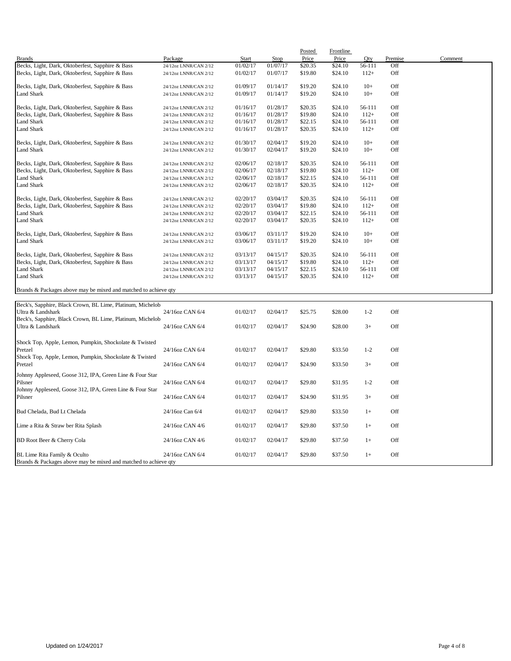|                                                                                 |                       |              |          | Posted  | Frontline |         |         |         |
|---------------------------------------------------------------------------------|-----------------------|--------------|----------|---------|-----------|---------|---------|---------|
| <b>Brands</b>                                                                   | Package               | <b>Start</b> | Stop     | Price   | Price     | Oty     | Premise | Comment |
| Becks, Light, Dark, Oktoberfest, Sapphire & Bass                                | 24/12oz LNNR/CAN 2/12 | 01/02/17     | 01/07/17 | \$20.35 | \$24.10   | 56-111  | Off     |         |
| Becks, Light, Dark, Oktoberfest, Sapphire & Bass                                | 24/12oz LNNR/CAN 2/12 | 01/02/17     | 01/07/17 | \$19.80 | \$24.10   | $112+$  | Off     |         |
| Becks, Light, Dark, Oktoberfest, Sapphire & Bass                                | 24/12oz LNNR/CAN 2/12 | 01/09/17     | 01/14/17 | \$19.20 | \$24.10   | $10+$   | Off     |         |
| Land Shark                                                                      | 24/12oz LNNR/CAN 2/12 | 01/09/17     | 01/14/17 | \$19.20 | \$24.10   | $10+$   | Off     |         |
| Becks, Light, Dark, Oktoberfest, Sapphire & Bass                                | 24/12oz LNNR/CAN 2/12 | 01/16/17     | 01/28/17 | \$20.35 | \$24.10   | 56-111  | Off     |         |
| Becks, Light, Dark, Oktoberfest, Sapphire & Bass                                | 24/12oz LNNR/CAN 2/12 | 01/16/17     | 01/28/17 | \$19.80 | \$24.10   | $112+$  | Off     |         |
| <b>Land Shark</b>                                                               | 24/12oz LNNR/CAN 2/12 | 01/16/17     | 01/28/17 | \$22.15 | \$24.10   | 56-111  | Off     |         |
| Land Shark                                                                      | 24/12oz LNNR/CAN 2/12 | 01/16/17     | 01/28/17 | \$20.35 | \$24.10   | $112+$  | Off     |         |
| Becks, Light, Dark, Oktoberfest, Sapphire & Bass                                | 24/12oz LNNR/CAN 2/12 | 01/30/17     | 02/04/17 | \$19.20 | \$24.10   | $10+$   | Off     |         |
| <b>Land Shark</b>                                                               | 24/12oz LNNR/CAN 2/12 | 01/30/17     | 02/04/17 | \$19.20 | \$24.10   | $10+$   | Off     |         |
| Becks, Light, Dark, Oktoberfest, Sapphire & Bass                                | 24/12oz LNNR/CAN 2/12 | 02/06/17     | 02/18/17 | \$20.35 | \$24.10   | 56-111  | Off     |         |
| Becks, Light, Dark, Oktoberfest, Sapphire & Bass                                | 24/12oz LNNR/CAN 2/12 | 02/06/17     | 02/18/17 | \$19.80 | \$24.10   | $112+$  | Off     |         |
| <b>Land Shark</b>                                                               | 24/12oz LNNR/CAN 2/12 | 02/06/17     | 02/18/17 | \$22.15 | \$24.10   | 56-111  | Off     |         |
| <b>Land Shark</b>                                                               | 24/12oz LNNR/CAN 2/12 | 02/06/17     | 02/18/17 | \$20.35 | \$24.10   | $112+$  | Off     |         |
| Becks, Light, Dark, Oktoberfest, Sapphire & Bass                                | 24/12oz LNNR/CAN 2/12 | 02/20/17     | 03/04/17 | \$20.35 | \$24.10   | 56-111  | Off     |         |
| Becks, Light, Dark, Oktoberfest, Sapphire & Bass                                | 24/12oz LNNR/CAN 2/12 | 02/20/17     | 03/04/17 | \$19.80 | \$24.10   | $112+$  | Off     |         |
| <b>Land Shark</b>                                                               | 24/12oz LNNR/CAN 2/12 | 02/20/17     | 03/04/17 | \$22.15 | \$24.10   | 56-111  | Off     |         |
| <b>Land Shark</b>                                                               | 24/12oz LNNR/CAN 2/12 | 02/20/17     | 03/04/17 | \$20.35 | \$24.10   | $112+$  | Off     |         |
| Becks, Light, Dark, Oktoberfest, Sapphire & Bass                                | 24/12oz LNNR/CAN 2/12 | 03/06/17     | 03/11/17 | \$19.20 | \$24.10   | $10+$   | Off     |         |
| <b>Land Shark</b>                                                               | 24/12oz LNNR/CAN 2/12 | 03/06/17     | 03/11/17 | \$19.20 | \$24.10   | $10+$   | Off     |         |
| Becks, Light, Dark, Oktoberfest, Sapphire & Bass                                | 24/12oz LNNR/CAN 2/12 | 03/13/17     | 04/15/17 | \$20.35 | \$24.10   | 56-111  | Off     |         |
| Becks, Light, Dark, Oktoberfest, Sapphire & Bass                                | 24/12oz LNNR/CAN 2/12 | 03/13/17     | 04/15/17 | \$19.80 | \$24.10   | $112+$  | Off     |         |
| <b>Land Shark</b>                                                               | 24/12oz LNNR/CAN 2/12 | 03/13/17     | 04/15/17 | \$22.15 | \$24.10   | 56-111  | Off     |         |
| <b>Land Shark</b>                                                               | 24/12oz LNNR/CAN 2/12 | 03/13/17     | 04/15/17 | \$20.35 | \$24.10   | $112+$  | Off     |         |
| Brands & Packages above may be mixed and matched to achieve qty                 |                       |              |          |         |           |         |         |         |
|                                                                                 |                       |              |          |         |           |         |         |         |
| Beck's, Sapphire, Black Crown, BL Lime, Platinum, Michelob<br>Ultra & Landshark | 24/16oz CAN 6/4       | 01/02/17     | 02/04/17 | \$25.75 | \$28.00   | $1 - 2$ | Off     |         |
| Beck's, Sapphire, Black Crown, BL Lime, Platinum, Michelob<br>Ultra & Landshark | 24/16oz CAN 6/4       | 01/02/17     | 02/04/17 | \$24.90 | \$28.00   | $3+$    | Off     |         |
|                                                                                 |                       |              |          |         |           |         |         |         |
| Shock Top, Apple, Lemon, Pumpkin, Shockolate & Twisted                          |                       |              |          |         |           |         |         |         |
| Pretzel                                                                         | 24/16oz CAN 6/4       | 01/02/17     | 02/04/17 | \$29.80 | \$33.50   | $1 - 2$ | Off     |         |
| Shock Top, Apple, Lemon, Pumpkin, Shockolate & Twisted<br>Pretzel               | 24/16oz CAN 6/4       | 01/02/17     | 02/04/17 | \$24.90 | \$33.50   | $3+$    | Off     |         |
| Johnny Appleseed, Goose 312, IPA, Green Line & Four Star                        |                       |              |          |         |           |         |         |         |
| Pilsner                                                                         | 24/16oz CAN 6/4       | 01/02/17     | 02/04/17 | \$29.80 | \$31.95   | $1 - 2$ | Off     |         |
| Johnny Appleseed, Goose 312, IPA, Green Line & Four Star                        |                       |              |          |         |           |         |         |         |
| Pilsner                                                                         | 24/16oz CAN 6/4       | 01/02/17     | 02/04/17 | \$24.90 | \$31.95   | $3+$    | Off     |         |

Bud Chelada, Bud Lt Chelada 24/16oz Can 6/4 01/02/17 02/04/17 \$29.80 \$33.50 1+ Off Lime a Rita & Straw ber Rita Splash 24/16oz CAN 4/6 01/02/17 02/04/17 \$29.80 \$37.50 1+ Off BD Root Beer & Cherry Cola 24/16oz CAN 4/6 01/02/17 02/04/17 \$29.80 \$37.50 1+ Off BL Lime Rita Family & Oculto 24/16oz CAN 6/4 01/02/17 02/04/17 \$29.80 \$37.50 1+ Off

Brands & Packages above may be mixed and matched to achieve qty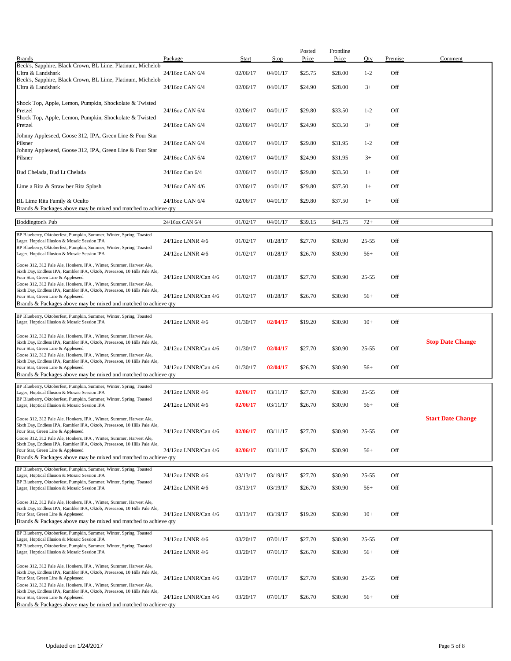|                                                                                                                                                  | Package              | Start    | Stop     | Posted<br>Price | <b>Frontline</b><br>Price | Qty       | Premise | Comment                  |
|--------------------------------------------------------------------------------------------------------------------------------------------------|----------------------|----------|----------|-----------------|---------------------------|-----------|---------|--------------------------|
| <b>Brands</b><br>Beck's, Sapphire, Black Crown, BL Lime, Platinum, Michelob                                                                      |                      |          |          |                 |                           |           |         |                          |
| Ultra & Landshark<br>Beck's, Sapphire, Black Crown, BL Lime, Platinum, Michelob                                                                  | 24/16oz CAN 6/4      | 02/06/17 | 04/01/17 | \$25.75         | \$28.00                   | $1 - 2$   | Off     |                          |
| Ultra & Landshark                                                                                                                                | 24/16oz CAN 6/4      | 02/06/17 | 04/01/17 | \$24.90         | \$28.00                   | $3+$      | Off     |                          |
| Shock Top, Apple, Lemon, Pumpkin, Shockolate & Twisted<br>Pretzel                                                                                | 24/16oz CAN 6/4      | 02/06/17 | 04/01/17 | \$29.80         | \$33.50                   | $1 - 2$   | Off     |                          |
| Shock Top, Apple, Lemon, Pumpkin, Shockolate & Twisted                                                                                           |                      |          |          |                 |                           |           |         |                          |
| Pretzel<br>Johnny Appleseed, Goose 312, IPA, Green Line & Four Star                                                                              | 24/16oz CAN 6/4      | 02/06/17 | 04/01/17 | \$24.90         | \$33.50                   | $3+$      | Off     |                          |
| Pilsner                                                                                                                                          | 24/16oz CAN 6/4      | 02/06/17 | 04/01/17 | \$29.80         | \$31.95                   | $1 - 2$   | Off     |                          |
| Johnny Appleseed, Goose 312, IPA, Green Line & Four Star<br>Pilsner                                                                              | 24/16oz CAN 6/4      | 02/06/17 | 04/01/17 | \$24.90         | \$31.95                   | $3+$      | Off     |                          |
| Bud Chelada, Bud Lt Chelada                                                                                                                      | 24/16oz Can 6/4      | 02/06/17 | 04/01/17 | \$29.80         | \$33.50                   | $1+$      | Off     |                          |
| Lime a Rita & Straw ber Rita Splash                                                                                                              | 24/16oz CAN 4/6      | 02/06/17 | 04/01/17 | \$29.80         | \$37.50                   | $1+$      | Off     |                          |
| BL Lime Rita Family & Oculto                                                                                                                     | 24/16oz CAN 6/4      | 02/06/17 | 04/01/17 | \$29.80         | \$37.50                   | $1+$      | Off     |                          |
| Brands & Packages above may be mixed and matched to achieve qty                                                                                  | 24/16oz CAN 6/4      |          |          |                 |                           |           |         |                          |
| <b>Boddington's Pub</b><br>BP Blueberry, Oktoberfest, Pumpkin, Summer, Winter, Spring, Toasted                                                   |                      | 01/02/17 | 04/01/17 | \$39.15         | \$41.75                   | $72+$     | Off     |                          |
| Lager, Hoptical Illusion & Mosaic Session IPA<br>BP Blueberry, Oktoberfest, Pumpkin, Summer, Winter, Spring, Toasted                             | 24/12oz LNNR 4/6     | 01/02/17 | 01/28/17 | \$27.70         | \$30.90                   | $25 - 55$ | Off     |                          |
| Lager, Hoptical Illusion & Mosaic Session IPA                                                                                                    | 24/12oz LNNR 4/6     | 01/02/17 | 01/28/17 | \$26.70         | \$30.90                   | $56+$     | Off     |                          |
| Goose 312, 312 Pale Ale, Honkers, IPA, Winter, Summer, Harvest Ale,<br>Sixth Day, Endless IPA, Rambler IPA, Oktob, Preseason, 10 Hills Pale Ale, |                      |          |          |                 |                           |           |         |                          |
| Four Star, Green Line & Appleseed<br>Goose 312, 312 Pale Ale, Honkers, IPA, Winter, Summer, Harvest Ale,                                         | 24/12oz LNNR/Can 4/6 | 01/02/17 | 01/28/17 | \$27.70         | \$30.90                   | $25 - 55$ | Off     |                          |
| Sixth Day, Endless IPA, Rambler IPA, Oktob, Preseason, 10 Hills Pale Ale,<br>Four Star, Green Line & Appleseed                                   | 24/12oz LNNR/Can 4/6 | 01/02/17 | 01/28/17 | \$26.70         | \$30.90                   | $56+$     | Off     |                          |
| Brands & Packages above may be mixed and matched to achieve qty                                                                                  |                      |          |          |                 |                           |           |         |                          |
| BP Blueberry, Oktoberfest, Pumpkin, Summer, Winter, Spring, Toasted<br>Lager, Hoptical Illusion & Mosaic Session IPA                             | 24/12oz LNNR 4/6     | 01/30/17 | 02/04/17 | \$19.20         | \$30.90                   | $10+$     | Off     |                          |
| Goose 312, 312 Pale Ale, Honkers, IPA, Winter, Summer, Harvest Ale,<br>Sixth Day, Endless IPA, Rambler IPA, Oktob, Preseason, 10 Hills Pale Ale, |                      |          |          |                 |                           |           |         | <b>Stop Date Change</b>  |
| Four Star, Green Line & Appleseed<br>Goose 312, 312 Pale Ale, Honkers, IPA, Winter, Summer, Harvest Ale,                                         | 24/12oz LNNR/Can 4/6 | 01/30/17 | 02/04/17 | \$27.70         | \$30.90                   | $25 - 55$ | Off     |                          |
| Sixth Day, Endless IPA, Rambler IPA, Oktob, Preseason, 10 Hills Pale Ale,<br>Four Star, Green Line & Appleseed                                   | 24/12oz LNNR/Can 4/6 | 01/30/17 | 02/04/17 | \$26.70         | \$30.90                   | $56+$     | Off     |                          |
| Brands & Packages above may be mixed and matched to achieve qty                                                                                  |                      |          |          |                 |                           |           |         |                          |
| BP Blueberry, Oktoberfest, Pumpkin, Summer, Winter, Spring, Toasted<br>Lager, Hoptical Illusion & Mosaic Session IPA                             | 24/12oz LNNR 4/6     | 02/06/17 | 03/11/17 | \$27.70         | \$30.90                   | 25-55     | Off     |                          |
| BP Blueberry, Oktoberfest, Pumpkin, Summer, Winter, Spring, Toasted<br>Lager, Hoptical Illusion & Mosaic Session IPA                             | 24/12oz LNNR 4/6     | 02/06/17 | 03/11/17 | \$26.70         | \$30.90                   | $56+$     | Off     |                          |
| Goose 312, 312 Pale Ale, Honkers, IPA, Winter, Summer, Harvest Ale,                                                                              |                      |          |          |                 |                           |           |         | <b>Start Date Change</b> |
| Sixth Day, Endless IPA, Rambler IPA, Oktob, Preseason, 10 Hills Pale Ale,<br>Four Star, Green Line & Appleseed                                   | 24/12oz LNNR/Can 4/6 | 02/06/17 | 03/11/17 | \$27.70         | \$30.90                   | $25 - 55$ | Off     |                          |
| Goose 312, 312 Pale Ale, Honkers, IPA, Winter, Summer, Harvest Ale,<br>Sixth Day, Endless IPA, Rambler IPA, Oktob, Preseason, 10 Hills Pale Ale, |                      |          |          |                 |                           |           |         |                          |
| Four Star, Green Line & Appleseed<br>Brands & Packages above may be mixed and matched to achieve qty                                             | 24/12oz LNNR/Can 4/6 | 02/06/17 | 03/11/17 | \$26.70         | \$30.90                   | $56+$     | Off     |                          |
| BP Blueberry, Oktoberfest, Pumpkin, Summer, Winter, Spring, Toasted                                                                              |                      |          |          |                 |                           |           |         |                          |
| Lager, Hoptical Illusion & Mosaic Session IPA<br>BP Blueberry, Oktoberfest, Pumpkin, Summer, Winter, Spring, Toasted                             | 24/12oz LNNR 4/6     | 03/13/17 | 03/19/17 | \$27.70         | \$30.90                   | $25 - 55$ | Off     |                          |
| Lager, Hoptical Illusion & Mosaic Session IPA                                                                                                    | 24/12oz LNNR 4/6     | 03/13/17 | 03/19/17 | \$26.70         | \$30.90                   | $56+$     | Off     |                          |
| Goose 312, 312 Pale Ale, Honkers, IPA, Winter, Summer, Harvest Ale,<br>Sixth Day, Endless IPA, Rambler IPA, Oktob, Preseason, 10 Hills Pale Ale, |                      |          |          |                 |                           |           |         |                          |
| Four Star, Green Line & Appleseed<br>Brands & Packages above may be mixed and matched to achieve gty                                             | 24/12oz LNNR/Can 4/6 | 03/13/17 | 03/19/17 | \$19.20         | \$30.90                   | $10+$     | Off     |                          |
| BP Blueberry, Oktoberfest, Pumpkin, Summer, Winter, Spring, Toasted                                                                              |                      |          |          |                 |                           |           |         |                          |
| Lager, Hoptical Illusion & Mosaic Session IPA<br>BP Blueberry, Oktoberfest, Pumpkin, Summer, Winter, Spring, Toasted                             | 24/12oz LNNR 4/6     | 03/20/17 | 07/01/17 | \$27.70         | \$30.90                   | $25 - 55$ | Off     |                          |
| Lager, Hoptical Illusion & Mosaic Session IPA                                                                                                    | 24/12oz LNNR 4/6     | 03/20/17 | 07/01/17 | \$26.70         | \$30.90                   | $56+$     | Off     |                          |
| Goose 312, 312 Pale Ale, Honkers, IPA, Winter, Summer, Harvest Ale,<br>Sixth Day, Endless IPA, Rambler IPA, Oktob, Preseason, 10 Hills Pale Ale, |                      |          |          |                 |                           |           |         |                          |
| Four Star, Green Line & Appleseed<br>Goose 312, 312 Pale Ale, Honkers, IPA, Winter, Summer, Harvest Ale,                                         | 24/12oz LNNR/Can 4/6 | 03/20/17 | 07/01/17 | \$27.70         | \$30.90                   | $25 - 55$ | Off     |                          |
| Sixth Day, Endless IPA, Rambler IPA, Oktob, Preseason, 10 Hills Pale Ale,<br>Four Star, Green Line & Appleseed                                   | 24/12oz LNNR/Can 4/6 | 03/20/17 | 07/01/17 | \$26.70         | \$30.90                   | $56+$     | Off     |                          |
| Brands & Packages above may be mixed and matched to achieve qty                                                                                  |                      |          |          |                 |                           |           |         |                          |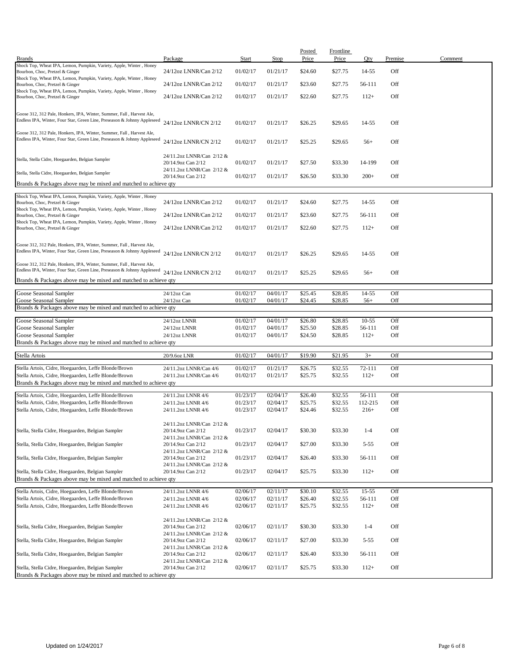| <b>Brands</b>                                                            | Package                   | Start    | Stop     | Posted<br>Price | Frontline<br>Price | Qty       | Premise | Comment |
|--------------------------------------------------------------------------|---------------------------|----------|----------|-----------------|--------------------|-----------|---------|---------|
| Shock Top, Wheat IPA, Lemon, Pumpkin, Variety, Apple, Winter, Honey      |                           |          |          |                 |                    |           |         |         |
| Bourbon, Choc, Pretzel & Ginger                                          | 24/12oz LNNR/Can 2/12     | 01/02/17 | 01/21/17 | \$24.60         | \$27.75            | 14-55     | Off     |         |
| Shock Top, Wheat IPA, Lemon, Pumpkin, Variety, Apple, Winter, Honey      |                           |          |          |                 |                    |           |         |         |
| Bourbon, Choc, Pretzel & Ginger                                          | 24/12oz LNNR/Can 2/12     | 01/02/17 | 01/21/17 | \$23.60         | \$27.75            | 56-111    | Off     |         |
| Shock Top, Wheat IPA, Lemon, Pumpkin, Variety, Apple, Winter, Honey      |                           |          |          |                 |                    |           |         |         |
| Bourbon, Choc, Pretzel & Ginger                                          | 24/12oz LNNR/Can 2/12     | 01/02/17 | 01/21/17 | \$22.60         | \$27.75            | $112+$    | Off     |         |
|                                                                          |                           |          |          |                 |                    |           |         |         |
| Goose 312, 312 Pale, Honkers, IPA, Winter, Summer, Fall, Harvest Ale,    |                           |          |          |                 |                    |           |         |         |
| Endless IPA, Winter, Four Star, Green Line, Preseason & Johnny Appleseed | 24/12oz LNNR/CN 2/12      | 01/02/17 | 01/21/17 | \$26.25         | \$29.65            | 14-55     | Off     |         |
|                                                                          |                           |          |          |                 |                    |           |         |         |
| Goose 312, 312 Pale, Honkers, IPA, Winter, Summer, Fall, Harvest Ale,    |                           |          |          |                 |                    |           |         |         |
| Endless IPA, Winter, Four Star, Green Line, Preseason & Johnny Appleseed | 24/12oz LNNR/CN 2/12      | 01/02/17 | 01/21/17 | \$25.25         | \$29.65            | $56+$     | Off     |         |
|                                                                          |                           |          |          |                 |                    |           |         |         |
|                                                                          | 24/11.2oz LNNR/Can 2/12 & |          |          |                 |                    |           |         |         |
| Stella, Stella Cidre, Hoegaarden, Belgian Sampler                        | 20/14.9oz Can 2/12        | 01/02/17 | 01/21/17 | \$27.50         | \$33.30            | 14-199    | Off     |         |
|                                                                          | 24/11.2oz LNNR/Can 2/12 & |          |          |                 |                    |           |         |         |
| Stella, Stella Cidre, Hoegaarden, Belgian Sampler                        | 20/14.9oz Can 2/12        | 01/02/17 | 01/21/17 | \$26.50         | \$33.30            | $200+$    | Off     |         |
| Brands & Packages above may be mixed and matched to achieve qty          |                           |          |          |                 |                    |           |         |         |
|                                                                          |                           |          |          |                 |                    |           |         |         |
| Shock Top, Wheat IPA, Lemon, Pumpkin, Variety, Apple, Winter, Honey      |                           |          |          |                 |                    |           |         |         |
| Bourbon, Choc, Pretzel & Ginger                                          | 24/12oz LNNR/Can 2/12     | 01/02/17 | 01/21/17 | \$24.60         | \$27.75            | 14-55     | Off     |         |
| Shock Top, Wheat IPA, Lemon, Pumpkin, Variety, Apple, Winter, Honey      |                           |          |          |                 |                    |           |         |         |
| Bourbon, Choc, Pretzel & Ginger                                          | 24/12oz LNNR/Can 2/12     | 01/02/17 | 01/21/17 | \$23.60         | \$27.75            | 56-111    | Off     |         |
| Shock Top, Wheat IPA, Lemon, Pumpkin, Variety, Apple, Winter, Honey      |                           |          |          |                 |                    |           |         |         |
| Bourbon, Choc, Pretzel & Ginger                                          | 24/12oz LNNR/Can 2/12     | 01/02/17 | 01/21/17 | \$22.60         | \$27.75            | $112+$    | Off     |         |
|                                                                          |                           |          |          |                 |                    |           |         |         |
| Goose 312, 312 Pale, Honkers, IPA, Winter, Summer, Fall, Harvest Ale,    |                           |          |          |                 |                    |           |         |         |
| Endless IPA, Winter, Four Star, Green Line, Preseason & Johnny Appleseed |                           |          |          |                 |                    |           |         |         |
|                                                                          | 24/12oz LNNR/CN 2/12      | 01/02/17 | 01/21/17 | \$26.25         | \$29.65            | 14-55     | Off     |         |
| Goose 312, 312 Pale, Honkers, IPA, Winter, Summer, Fall, Harvest Ale,    |                           |          |          |                 |                    |           |         |         |
| Endless IPA, Winter, Four Star, Green Line, Preseason & Johnny Appleseed | 24/12oz LNNR/CN 2/12      | 01/02/17 | 01/21/17 | \$25.25         | \$29.65            | $56+$     | Off     |         |
|                                                                          |                           |          |          |                 |                    |           |         |         |
| Brands & Packages above may be mixed and matched to achieve qty          |                           |          |          |                 |                    |           |         |         |
| Goose Seasonal Sampler                                                   | 24/12oz Can               | 01/02/17 | 04/01/17 | \$25.45         | \$28.85            | 14-55     | Off     |         |
| Goose Seasonal Sampler                                                   | 24/12oz Can               | 01/02/17 | 04/01/17 | \$24.45         | \$28.85            | $56+$     | Off     |         |
| Brands & Packages above may be mixed and matched to achieve qty          |                           |          |          |                 |                    |           |         |         |
|                                                                          |                           |          |          |                 |                    |           |         |         |
| Goose Seasonal Sampler                                                   | 24/12oz LNNR              | 01/02/17 | 04/01/17 | \$26.80         | \$28.85            | $10 - 55$ | Off     |         |
| Goose Seasonal Sampler                                                   | 24/12oz LNNR              | 01/02/17 | 04/01/17 | \$25.50         | \$28.85            | 56-111    | Off     |         |
| Goose Seasonal Sampler                                                   | 24/12oz LNNR              | 01/02/17 | 04/01/17 | \$24.50         | \$28.85            | $112+$    | Off     |         |
| Brands & Packages above may be mixed and matched to achieve qty          |                           |          |          |                 |                    |           |         |         |
|                                                                          |                           |          |          |                 |                    |           |         |         |
| Stella Artois                                                            | 20/9.6oz LNR              | 01/02/17 | 04/01/17 | \$19.90         | \$21.95            | $3+$      | Off     |         |
|                                                                          |                           |          |          |                 |                    |           |         |         |
| Stella Artois, Cidre, Hoegaarden, Leffe Blonde/Brown                     | 24/11.2oz LNNR/Can 4/6    | 01/02/17 | 01/21/17 | \$26.75         | \$32.55            | 72-111    | Off     |         |
| Stella Artois, Cidre, Hoegaarden, Leffe Blonde/Brown                     | 24/11.2oz LNNR/Can 4/6    | 01/02/17 | 01/21/17 | \$25.75         | \$32.55            | $112+$    | Off     |         |
| Brands & Packages above may be mixed and matched to achieve qty          |                           |          |          |                 |                    |           |         |         |
|                                                                          |                           |          |          |                 |                    |           |         |         |
| Stella Artois, Cidre, Hoegaarden, Leffe Blonde/Brown                     | 24/11.2oz LNNR 4/6        | 01/23/17 | 02/04/17 | \$26.40         | \$32.55            | 56-111    | Off     |         |
| Stella Artois, Cidre, Hoegaarden, Leffe Blonde/Brown                     | 24/11.2oz LNNR 4/6        | 01/23/17 | 02/04/17 | \$25.75         | \$32.55            | 112-215   | Off     |         |
| Stella Artois, Cidre, Hoegaarden, Leffe Blonde/Brown                     | 24/11.2oz LNNR 4/6        | 01/23/17 | 02/04/17 | \$24.46         | \$32.55            | $216+$    | Off     |         |
|                                                                          |                           |          |          |                 |                    |           |         |         |
|                                                                          | 24/11.2oz LNNR/Can 2/12 & |          |          |                 |                    |           |         |         |
| Stella, Stella Cidre, Hoegaarden, Belgian Sampler                        | 20/14.9oz Can 2/12        | 01/23/17 | 02/04/17 | \$30.30         | \$33.30            | $1 - 4$   | Off     |         |
|                                                                          | 24/11.2oz LNNR/Can 2/12 & |          |          |                 |                    |           |         |         |
| Stella, Stella Cidre, Hoegaarden, Belgian Sampler                        | 20/14.9oz Can 2/12        | 01/23/17 | 02/04/17 | \$27.00         | \$33.30            | $5 - 55$  | Off     |         |
|                                                                          | 24/11.2oz LNNR/Can 2/12 & |          |          |                 |                    |           |         |         |
| Stella, Stella Cidre, Hoegaarden, Belgian Sampler                        | 20/14.9oz Can 2/12        | 01/23/17 | 02/04/17 | \$26.40         | \$33.30            | 56-111    | Off     |         |
|                                                                          | 24/11.2oz LNNR/Can 2/12 & |          |          |                 |                    |           |         |         |
| Stella, Stella Cidre, Hoegaarden, Belgian Sampler                        | 20/14.9oz Can 2/12        | 01/23/17 | 02/04/17 | \$25.75         | \$33.30            | $112+$    | Off     |         |
| Brands & Packages above may be mixed and matched to achieve qty          |                           |          |          |                 |                    |           |         |         |
|                                                                          |                           |          |          |                 |                    |           |         |         |
| Stella Artois, Cidre, Hoegaarden, Leffe Blonde/Brown                     | 24/11.2oz LNNR 4/6        | 02/06/17 | 02/11/17 | \$30.10         | \$32.55            | $15 - 55$ | Off     |         |
| Stella Artois, Cidre, Hoegaarden, Leffe Blonde/Brown                     | 24/11.2oz LNNR 4/6        | 02/06/17 | 02/11/17 | \$26.40         | \$32.55            | 56-111    | Off     |         |
| Stella Artois, Cidre, Hoegaarden, Leffe Blonde/Brown                     | 24/11.2oz LNNR 4/6        | 02/06/17 | 02/11/17 | \$25.75         | \$32.55            | $112+$    | Off     |         |
|                                                                          |                           |          |          |                 |                    |           |         |         |
|                                                                          | 24/11.2oz LNNR/Can 2/12 & |          |          |                 |                    |           |         |         |
| Stella, Stella Cidre, Hoegaarden, Belgian Sampler                        | 20/14.9oz Can 2/12        | 02/06/17 | 02/11/17 | \$30.30         | \$33.30            | $1 - 4$   | Off     |         |
|                                                                          | 24/11.2oz LNNR/Can 2/12 & |          |          |                 |                    |           |         |         |
| Stella, Stella Cidre, Hoegaarden, Belgian Sampler                        | 20/14.9oz Can 2/12        | 02/06/17 | 02/11/17 | \$27.00         | \$33.30            | $5 - 55$  | Off     |         |
|                                                                          | 24/11.2oz LNNR/Can 2/12 & |          |          |                 |                    |           |         |         |
| Stella, Stella Cidre, Hoegaarden, Belgian Sampler                        | 20/14.9oz Can 2/12        | 02/06/17 | 02/11/17 | \$26.40         | \$33.30            | 56-111    | Off     |         |
|                                                                          | 24/11.2oz LNNR/Can 2/12 & |          |          |                 |                    |           |         |         |
| Stella, Stella Cidre, Hoegaarden, Belgian Sampler                        | 20/14.9oz Can 2/12        | 02/06/17 | 02/11/17 | \$25.75         | \$33.30            | $112+$    | Off     |         |
| Brands & Packages above may be mixed and matched to achieve qty          |                           |          |          |                 |                    |           |         |         |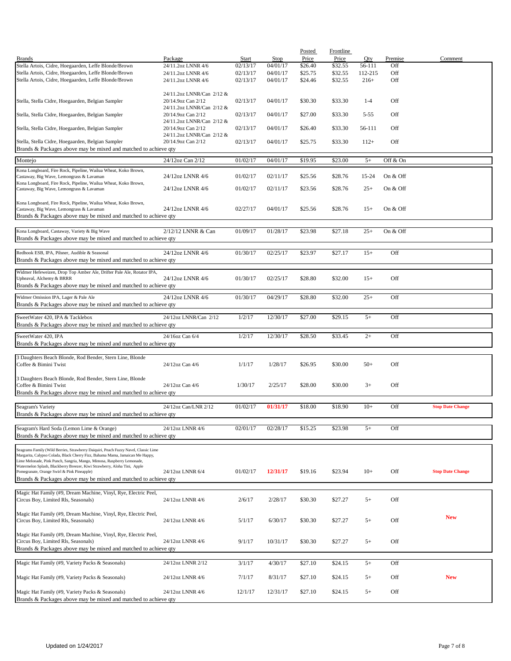|                                                                                                                          |                           |          |          | <b>Posted</b> | <b>Frontline</b> |          |          |                         |
|--------------------------------------------------------------------------------------------------------------------------|---------------------------|----------|----------|---------------|------------------|----------|----------|-------------------------|
| <b>Brands</b>                                                                                                            | Package                   | Start    | Stop     | Price         | Price            | Qty      | Premise  | Comment                 |
| Stella Artois, Cidre, Hoegaarden, Leffe Blonde/Brown                                                                     | 24/11.2oz LNNR 4/6        | 02/13/17 | 04/01/17 | \$26.40       | \$32.55          | 56-111   | Off      |                         |
| Stella Artois, Cidre, Hoegaarden, Leffe Blonde/Brown                                                                     | 24/11.2oz LNNR 4/6        | 02/13/17 | 04/01/17 | \$25.75       | \$32.55          | 112-215  | Off      |                         |
| Stella Artois, Cidre, Hoegaarden, Leffe Blonde/Brown                                                                     | 24/11.2oz LNNR 4/6        | 02/13/17 | 04/01/17 | \$24.46       | \$32.55          | $216+$   | Off      |                         |
|                                                                                                                          |                           |          |          |               |                  |          |          |                         |
|                                                                                                                          | 24/11.2oz LNNR/Can 2/12 & |          |          |               |                  |          |          |                         |
| Stella, Stella Cidre, Hoegaarden, Belgian Sampler                                                                        | 20/14.9oz Can 2/12        | 02/13/17 | 04/01/17 | \$30.30       | \$33.30          | $1 - 4$  | Off      |                         |
|                                                                                                                          | 24/11.2oz LNNR/Can 2/12 & |          |          |               |                  |          |          |                         |
| Stella, Stella Cidre, Hoegaarden, Belgian Sampler                                                                        | 20/14.9oz Can 2/12        | 02/13/17 | 04/01/17 | \$27.00       | \$33.30          | $5 - 55$ | Off      |                         |
|                                                                                                                          | 24/11.2oz LNNR/Can 2/12 & |          |          |               |                  |          |          |                         |
| Stella, Stella Cidre, Hoegaarden, Belgian Sampler                                                                        | 20/14.9oz Can 2/12        | 02/13/17 | 04/01/17 | \$26.40       | \$33.30          | 56-111   | Off      |                         |
|                                                                                                                          | 24/11.2oz LNNR/Can 2/12 & |          |          |               |                  |          |          |                         |
| Stella, Stella Cidre, Hoegaarden, Belgian Sampler                                                                        | 20/14.9oz Can 2/12        | 02/13/17 | 04/01/17 | \$25.75       | \$33.30          | $112+$   | Off      |                         |
| Brands & Packages above may be mixed and matched to achieve qty                                                          |                           |          |          |               |                  |          |          |                         |
| Montejo                                                                                                                  | 24/12oz Can 2/12          | 01/02/17 | 04/01/17 | \$19.95       | \$23.00          | $5+$     | Off & On |                         |
|                                                                                                                          |                           |          |          |               |                  |          |          |                         |
| Kona Longboard, Fire Rock, Pipeline, Wailua Wheat, Koko Brown,                                                           |                           |          |          |               |                  |          |          |                         |
| Castaway, Big Wave, Lemongrass & Lavaman                                                                                 | 24/12oz LNNR 4/6          | 01/02/17 | 02/11/17 | \$25.56       | \$28.76          | 15-24    | On & Off |                         |
| Kona Longboard, Fire Rock, Pipeline, Wailua Wheat, Koko Brown,                                                           |                           |          |          |               |                  |          |          |                         |
| Castaway, Big Wave, Lemongrass & Lavaman                                                                                 | 24/12oz LNNR 4/6          | 01/02/17 | 02/11/17 | \$23.56       | \$28.76          | $25+$    | On & Off |                         |
| Kona Longboard, Fire Rock, Pipeline, Wailua Wheat, Koko Brown,                                                           |                           |          |          |               |                  |          |          |                         |
| Castaway, Big Wave, Lemongrass & Lavaman                                                                                 | 24/12oz LNNR 4/6          | 02/27/17 | 04/01/17 | \$25.56       | \$28.76          | $15+$    | On & Off |                         |
| Brands & Packages above may be mixed and matched to achieve qty                                                          |                           |          |          |               |                  |          |          |                         |
|                                                                                                                          |                           |          |          |               |                  |          |          |                         |
| Kona Longboard, Castaway, Variety & Big Wave                                                                             | 2/12/12 LNNR & Can        | 01/09/17 | 01/28/17 | \$23.98       | \$27.18          | $25+$    | On & Off |                         |
|                                                                                                                          |                           |          |          |               |                  |          |          |                         |
| Brands & Packages above may be mixed and matched to achieve qty                                                          |                           |          |          |               |                  |          |          |                         |
|                                                                                                                          | 24/12oz LNNR 4/6          |          |          |               |                  |          |          |                         |
| Redhook ESB, IPA, Pilsner, Audible & Seasonal                                                                            |                           | 01/30/17 | 02/25/17 | \$23.97       | \$27.17          | $15+$    | Off      |                         |
| Brands & Packages above may be mixed and matched to achieve qty                                                          |                           |          |          |               |                  |          |          |                         |
| Widmer Hefeweizen, Drop Top Amber Ale, Drifter Pale Ale, Rotator IPA,                                                    |                           |          |          |               |                  |          |          |                         |
| Upheaval, Alchemy & BRRR                                                                                                 | 24/12oz LNNR 4/6          | 01/30/17 | 02/25/17 | \$28.80       | \$32.00          | $15+$    | Off      |                         |
| Brands & Packages above may be mixed and matched to achieve qty                                                          |                           |          |          |               |                  |          |          |                         |
|                                                                                                                          |                           |          |          |               |                  |          |          |                         |
| Widmer Omission IPA, Lager & Pale Ale                                                                                    | 24/12oz LNNR 4/6          | 01/30/17 | 04/29/17 | \$28.80       | \$32.00          | $25+$    | Off      |                         |
| Brands & Packages above may be mixed and matched to achieve qty                                                          |                           |          |          |               |                  |          |          |                         |
|                                                                                                                          |                           |          |          |               |                  |          |          |                         |
| SweetWater 420, IPA & Tacklebox                                                                                          | 24/12oz LNNR/Can 2/12     | 1/2/17   | 12/30/17 | \$27.00       | \$29.15          | $5+$     | Off      |                         |
| Brands & Packages above may be mixed and matched to achieve qty                                                          |                           |          |          |               |                  |          |          |                         |
| SweetWater 420, IPA                                                                                                      | 24/16oz Can 6/4           | 1/2/17   | 12/30/17 | \$28.50       | \$33.45          | $2+$     | Off      |                         |
| Brands & Packages above may be mixed and matched to achieve qty                                                          |                           |          |          |               |                  |          |          |                         |
|                                                                                                                          |                           |          |          |               |                  |          |          |                         |
| 3 Daughters Beach Blonde, Rod Bender, Stern Line, Blonde                                                                 |                           |          |          |               |                  |          |          |                         |
| Coffee & Bimini Twist                                                                                                    | 24/12oz Can 4/6           | 1/1/17   | 1/28/17  | \$26.95       | \$30.00          | $50+$    | Off      |                         |
|                                                                                                                          |                           |          |          |               |                  |          |          |                         |
| 3 Daughters Beach Blonde, Rod Bender, Stern Line, Blonde                                                                 |                           |          |          |               |                  |          |          |                         |
| Coffee & Bimini Twist                                                                                                    | 24/12oz Can 4/6           | 1/30/17  | 2/25/17  | \$28.00       | \$30.00          | $3+$     | Off      |                         |
| Brands & Packages above may be mixed and matched to achieve qty                                                          |                           |          |          |               |                  |          |          |                         |
|                                                                                                                          |                           |          |          |               |                  |          |          |                         |
| Seagram's Variety                                                                                                        | 24/12oz Can/LNR 2/12      | 01/02/17 | 01/31/17 | \$18.00       | \$18.90          | $10+$    | Off      | <b>Stop Date Change</b> |
| Brands & Packages above may be mixed and matched to achieve qty                                                          |                           |          |          |               |                  |          |          |                         |
|                                                                                                                          |                           |          |          |               |                  |          |          |                         |
| Seagram's Hard Soda (Lemon Lime & Orange)                                                                                | 24/12oz LNNR 4/6          | 02/01/17 | 02/28/17 | \$15.25       | \$23.98          | $5+$     | Off      |                         |
| Brands & Packages above may be mixed and matched to achieve qty                                                          |                           |          |          |               |                  |          |          |                         |
|                                                                                                                          |                           |          |          |               |                  |          |          |                         |
| Seagrams Family (Wild Berries, Strawberry Daiquiri, Peach Fuzzy Navel, Classic Lime                                      |                           |          |          |               |                  |          |          |                         |
| Margarita, Calypso Colada, Black Cherry Fizz, Bahama Mama, Jamaican Me Happy,                                            |                           |          |          |               |                  |          |          |                         |
| Lime Melonade, Pink Punch, Sangria, Mango, Mimosa, Raspberry Lemonade,                                                   |                           |          |          |               |                  |          |          |                         |
| Watermelon Splash, Blackberry Breezer, Kiwi Strawberry, Aloha Tini, Apple<br>Pomegranate, Orange Swirl & Pink Pineapple) | 24/12oz LNNR 6/4          | 01/02/17 | 12/31/17 | \$19.16       | \$23.94          | $10+$    | Off      | <b>Stop Date Change</b> |
| Brands & Packages above may be mixed and matched to achieve qty                                                          |                           |          |          |               |                  |          |          |                         |
|                                                                                                                          |                           |          |          |               |                  |          |          |                         |
| Magic Hat Family (#9, Dream Machine, Vinyl, Rye, Electric Peel,                                                          |                           |          |          |               |                  |          |          |                         |
| Circus Boy, Limited Rls, Seasonals)                                                                                      | 24/12oz LNNR 4/6          | 2/6/17   | 2/28/17  | \$30.30       | \$27.27          | $5+$     | Off      |                         |
|                                                                                                                          |                           |          |          |               |                  |          |          |                         |
| Magic Hat Family (#9, Dream Machine, Vinyl, Rye, Electric Peel,                                                          |                           |          |          |               |                  |          |          |                         |
| Circus Boy, Limited Rls, Seasonals)                                                                                      | 24/12oz LNNR 4/6          | 5/1/17   | 6/30/17  | \$30.30       | \$27.27          | $5+$     | Off      | <b>New</b>              |
|                                                                                                                          |                           |          |          |               |                  |          |          |                         |
| Magic Hat Family (#9, Dream Machine, Vinyl, Rye, Electric Peel,                                                          |                           |          |          |               |                  |          |          |                         |
| Circus Boy, Limited Rls, Seasonals)                                                                                      | 24/12oz LNNR 4/6          | 9/1/17   | 10/31/17 | \$30.30       | \$27.27          | $5+$     | Off      |                         |
| Brands & Packages above may be mixed and matched to achieve qty                                                          |                           |          |          |               |                  |          |          |                         |
|                                                                                                                          |                           |          |          |               |                  |          |          |                         |
| Magic Hat Family (#9, Variety Packs & Seasonals)                                                                         | 24/12oz LNNR 2/12         | 3/1/17   | 4/30/17  | \$27.10       | \$24.15          | $5+$     | Off      |                         |
|                                                                                                                          |                           |          |          |               |                  |          |          |                         |
| Magic Hat Family (#9, Variety Packs & Seasonals)                                                                         | 24/12oz LNNR 4/6          | 7/1/17   | 8/31/17  | \$27.10       | \$24.15          | $5+$     | Off      | <b>New</b>              |
|                                                                                                                          |                           |          |          |               |                  |          |          |                         |
|                                                                                                                          |                           |          |          |               |                  |          |          |                         |
| Magic Hat Family (#9, Variety Packs & Seasonals)                                                                         | 24/12oz LNNR 4/6          | 12/1/17  | 12/31/17 | \$27.10       | \$24.15          | $5+$     | Off      |                         |